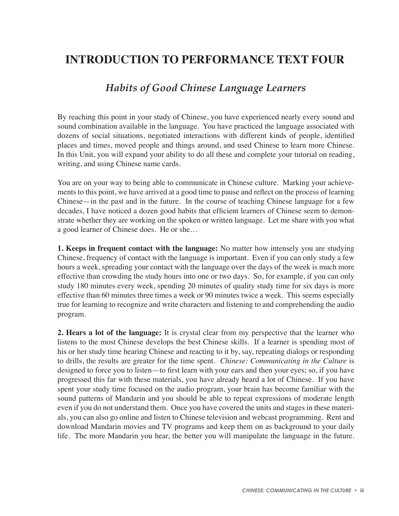## **INTRODUCTION TO PERFORMANCE TEXT FOUR**

## *Habits of Good Chinese Language Learners*

By reaching this point in your study of Chinese, you have experienced nearly every sound and sound combination available in the language. You have practiced the language associated with dozens of social situations, negotiated interactions with different kinds of people, identified places and times, moved people and things around, and used Chinese to learn more Chinese. In this Unit, you will expand your ability to do all these and complete your tutorial on reading, writing, and using Chinese name cards.

You are on your way to being able to communicate in Chinese culture. Marking your achievements to this point, we have arrived at a good time to pause and reflect on the process of learning Chinese—in the past and in the future. In the course of teaching Chinese language for a few decades, I have noticed a dozen good habits that efficient learners of Chinese seem to demonstrate whether they are working on the spoken or written language. Let me share with you what a good learner of Chinese does. He or she…

**1. Keeps in frequent contact with the language:** No matter how intensely you are studying Chinese, frequency of contact with the language is important. Even if you can only study a few hours a week, spreading your contact with the language over the days of the week is much more effective than crowding the study hours into one or two days. So, for example, if you can only study 180 minutes every week, spending 20 minutes of quality study time for six days is more effective than 60 minutes three times a week or 90 minutes twice a week. This seems especially true for learning to recognize and write characters and listening to and comprehending the audio program.

**2. Hears a lot of the language:** It is crystal clear from my perspective that the learner who listens to the most Chinese develops the best Chinese skills. If a learner is spending most of his or her study time hearing Chinese and reacting to it by, say, repeating dialogs or responding to drills, the results are greater for the time spent. *Chinese: Communicating in the Culture* is designed to force you to listen—to first learn with your ears and then your eyes; so, if you have progressed this far with these materials, you have already heard a lot of Chinese. If you have spent your study time focused on the audio program, your brain has become familiar with the sound patterns of Mandarin and you should be able to repeat expressions of moderate length even if you do not understand them. Once you have covered the units and stages in these materials, you can also go online and listen to Chinese television and webcast programming. Rent and download Mandarin movies and TV programs and keep them on as background to your daily life. The more Mandarin you hear, the better you will manipulate the language in the future.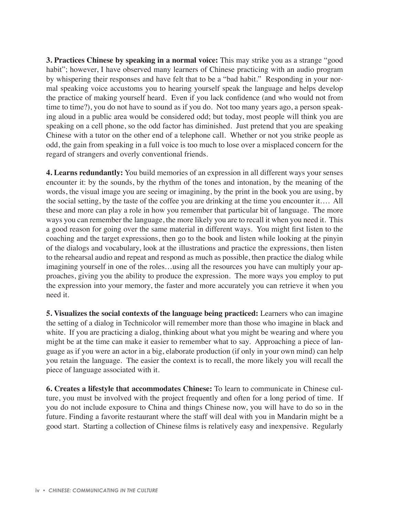**3. Practices Chinese by speaking in a normal voice:** This may strike you as a strange "good habit"; however, I have observed many learners of Chinese practicing with an audio program by whispering their responses and have felt that to be a "bad habit." Responding in your normal speaking voice accustoms you to hearing yourself speak the language and helps develop the practice of making yourself heard. Even if you lack confidence (and who would not from time to time?), you do not have to sound as if you do. Not too many years ago, a person speaking aloud in a public area would be considered odd; but today, most people will think you are speaking on a cell phone, so the odd factor has diminished. Just pretend that you are speaking Chinese with a tutor on the other end of a telephone call. Whether or not you strike people as odd, the gain from speaking in a full voice is too much to lose over a misplaced concern for the regard of strangers and overly conventional friends.

**4. Learns redundantly:** You build memories of an expression in all different ways your senses encounter it: by the sounds, by the rhythm of the tones and intonation, by the meaning of the words, the visual image you are seeing or imagining, by the print in the book you are using, by the social setting, by the taste of the coffee you are drinking at the time you encounter it…. All these and more can play a role in how you remember that particular bit of language. The more ways you can remember the language, the more likely you are to recall it when you need it. This a good reason for going over the same material in different ways. You might first listen to the coaching and the target expressions, then go to the book and listen while looking at the pinyin of the dialogs and vocabulary, look at the illustrations and practice the expressions, then listen to the rehearsal audio and repeat and respond as much as possible, then practice the dialog while imagining yourself in one of the roles…using all the resources you have can multiply your approaches, giving you the ability to produce the expression. The more ways you employ to put the expression into your memory, the faster and more accurately you can retrieve it when you need it.

**5. Visualizes the social contexts of the language being practiced:** Learners who can imagine the setting of a dialog in Technicolor will remember more than those who imagine in black and white. If you are practicing a dialog, thinking about what you might be wearing and where you might be at the time can make it easier to remember what to say. Approaching a piece of language as if you were an actor in a big, elaborate production (if only in your own mind) can help you retain the language. The easier the context is to recall, the more likely you will recall the piece of language associated with it.

**6. Creates a lifestyle that accommodates Chinese:** To learn to communicate in Chinese culture, you must be involved with the project frequently and often for a long period of time. If you do not include exposure to China and things Chinese now, you will have to do so in the future. Finding a favorite restaurant where the staff will deal with you in Mandarin might be a good start. Starting a collection of Chinese films is relatively easy and inexpensive. Regularly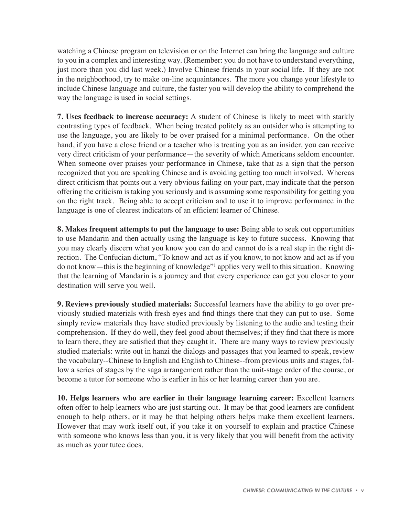watching a Chinese program on television or on the Internet can bring the language and culture to you in a complex and interesting way. (Remember: you do not have to understand everything, just more than you did last week.) Involve Chinese friends in your social life. If they are not in the neighborhood, try to make on-line acquaintances. The more you change your lifestyle to include Chinese language and culture, the faster you will develop the ability to comprehend the way the language is used in social settings.

**7. Uses feedback to increase accuracy:** A student of Chinese is likely to meet with starkly contrasting types of feedback. When being treated politely as an outsider who is attempting to use the language, you are likely to be over praised for a minimal performance. On the other hand, if you have a close friend or a teacher who is treating you as an insider, you can receive very direct criticism of your performance—the severity of which Americans seldom encounter. When someone over praises your performance in Chinese, take that as a sign that the person recognized that you are speaking Chinese and is avoiding getting too much involved. Whereas direct criticism that points out a very obvious failing on your part, may indicate that the person offering the criticism is taking you seriously and is assuming some responsibility for getting you on the right track. Being able to accept criticism and to use it to improve performance in the language is one of clearest indicators of an efficient learner of Chinese.

**8. Makes frequent attempts to put the language to use:** Being able to seek out opportunities to use Mandarin and then actually using the language is key to future success. Knowing that you may clearly discern what you know you can do and cannot do is a real step in the right direction. The Confucian dictum, "To know and act as if you know, to not know and act as if you do not know—this is the beginning of knowledge"<sup>1</sup> applies very well to this situation. Knowing that the learning of Mandarin is a journey and that every experience can get you closer to your destination will serve you well.

**9. Reviews previously studied materials:** Successful learners have the ability to go over previously studied materials with fresh eyes and find things there that they can put to use. Some simply review materials they have studied previously by listening to the audio and testing their comprehension. If they do well, they feel good about themselves; if they find that there is more to learn there, they are satisfied that they caught it. There are many ways to review previously studied materials: write out in hanzi the dialogs and passages that you learned to speak, review the vocabulary--Chinese to English and English to Chinese--from previous units and stages, follow a series of stages by the saga arrangement rather than the unit-stage order of the course, or become a tutor for someone who is earlier in his or her learning career than you are.

**10. Helps learners who are earlier in their language learning career:** Excellent learners often offer to help learners who are just starting out. It may be that good learners are confident enough to help others, or it may be that helping others helps make them excellent learners. However that may work itself out, if you take it on yourself to explain and practice Chinese with someone who knows less than you, it is very likely that you will benefit from the activity as much as your tutee does.